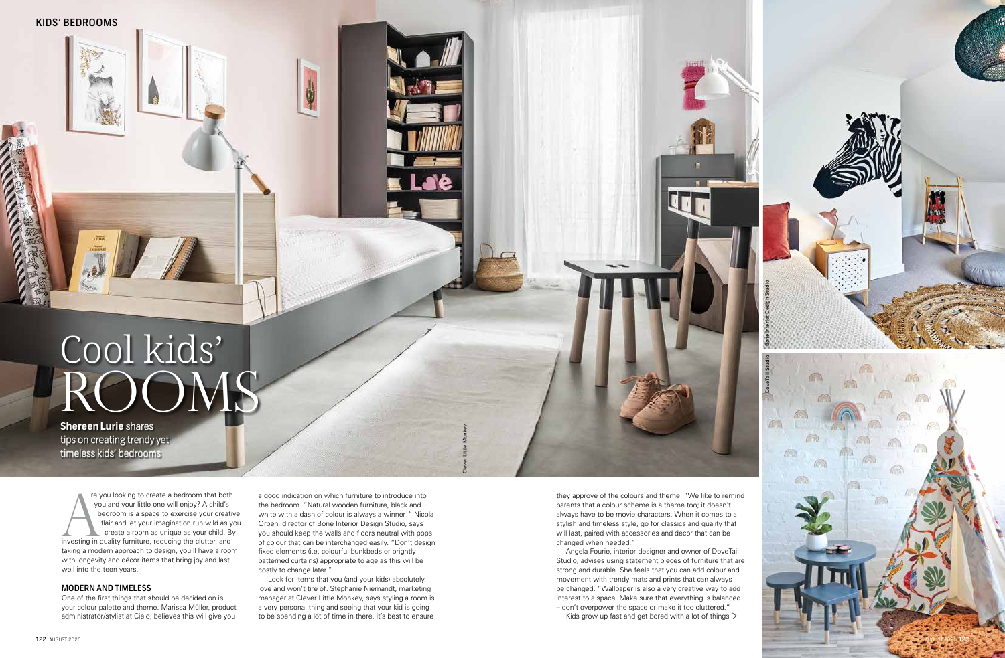re you looking to create a bedroom that both you and your little one will enjoy? A child's bedroom is a space to exercise your creative flair and let your imagination run wild as you create a room as unique as your child. By investing in quality furniture, reducing the clutter, and taking a modern approach to design, you'll have a room with longevity and décor items that bring joy and last well into the teen years. Fre you looking to create a bedroom that both<br>
you and your little one will enjoy? A child's<br>
bedroom is a space to exercise your creative<br>
flair and let your imagination run wild as you<br>
create a room as unique as your ch

#### MODERN AND TIMELESS

One of the first things that should be decided on is your colour palette and theme. Marissa Müller, product administrator/stylist at Cielo, believes this will give you

the bedroom. "Natural wooden furniture, black and white with a dash of colour is always a winner!" Nicola Orpen, director of Bone Interior Design Studio, says you should keep the walls and floors neutral with pops of colour that can be interchanged easily. "Don't design fixed elements (i.e. colourful bunkbeds or brightly patterned curtains) appropriate to age as this will be costly to change later."

> – don't overpower the space or make it too cluttered." Kids grow up fast and get bored with a lot of things  $>$



Look for items that you (and your kids) absolutely love and won't tire of. Stephanie Niemandt, marketing manager at Clever Little Monkey, says styling a room is a very personal thing and seeing that your kid is going to be spending a lot of time in there, it's best to ensure

# Cool kids' ROOMS

**Shereen Lurie** shares tips on creating trendy yet timeless kids' bedrooms

> they approve of the colours and theme. "We like to remind parents that a colour scheme is a theme too; it doesn't always have to be movie characters. When it comes to a stylish and timeless style, go for classics and quality that will last, paired with accessories and décor that can be changed when needed."

> Angela Fourie, interior designer and owner of DoveTail Studio, advises using statement pieces of furniture that are strong and durable. She feels that you can add colour and movement with trendy mats and prints that can always be changed. "Wallpaper is also a very creative way to add interest to a space. Make sure that everything is balanced

Clever Little Monkey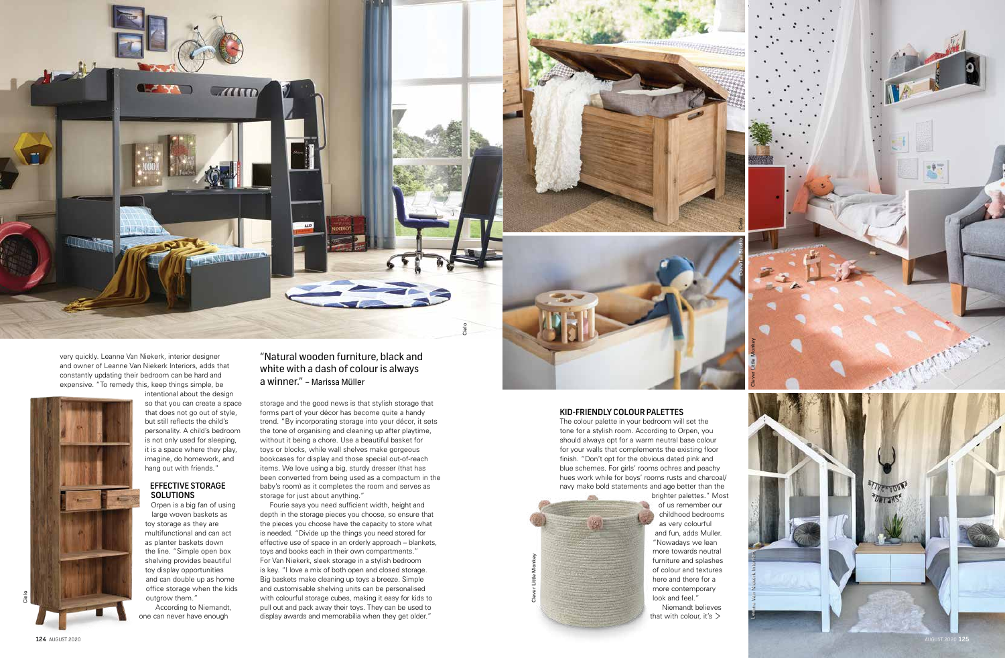very quickly. Leanne Van Niekerk, interior designer and owner of Leanne Van Niekerk Interiors, adds that constantly updating their bedroom can be hard and expensive. "To remedy this, keep things simple, be

intentional about the design so that you can create a space that does not go out of style, but still reflects the child's personality. A child's bedroom is not only used for sleeping, it is a space where they play, imagine, do homework, and hang out with friends."

## EFFECTIVE STORAGE SOLUTIONS

Orpen is a big fan of using large woven baskets as toy storage as they are multifunctional and can act as planter baskets down the line. "Simple open box shelving provides beautiful toy display opportunities and can double up as home office storage when the kids outgrow them."

According to Niemandt, one can never have enough

storage and the good news is that stylish storage that forms part of your décor has become quite a handy trend. "By incorporating storage into your décor, it sets the tone of organising and cleaning up after playtime, without it being a chore. Use a beautiful basket for toys or blocks, while wall shelves make gorgeous bookcases for display and those special out-of-reach items. We love using a big, sturdy dresser (that has been converted from being used as a compactum in the baby's room) as it completes the room and serves as storage for just about anything."

Fourie says you need sufficient width, height and depth in the storage pieces you choose, so ensure that the pieces you choose have the capacity to store what is needed. "Divide up the things you need stored for effective use of space in an orderly approach – blankets, toys and books each in their own compartments." For Van Niekerk, sleek storage in a stylish bedroom is key. "I love a mix of both open and closed storage. Big baskets make cleaning up toys a breeze. Simple and customisable shelving units can be personalised with colourful storage cubes, making it easy for kids to pull out and pack away their toys. They can be used to display awards and memorabilia when they get older."



# "Natural wooden furniture, black and white with a dash of colour is always a winner." – Marissa Müller

## KID -FRIENDLY COLOUR PALETTES

The colour palette in your bedroom will set the tone for a stylish room. According to Orpen, you should always opt for a warm neutral base colour for your walls that complements the existing floor finish. "Don't opt for the obvious dated pink and blue schemes. For girls' rooms ochres and peachy hues work while for boys' rooms rusts and charcoal/ navy make bold statements and age better than the



brighter palettes." Most of us remember our childhood bedrooms as very colourful and fun, adds Muller. "Nowadays we lean more towards neutral furniture and splashes of colour and textures here and there for a more contemporary look and feel.' Niemandt believes

that with colour, it's  $>$ 

Cielo

DoveTail Studio



Clever Little Monkey